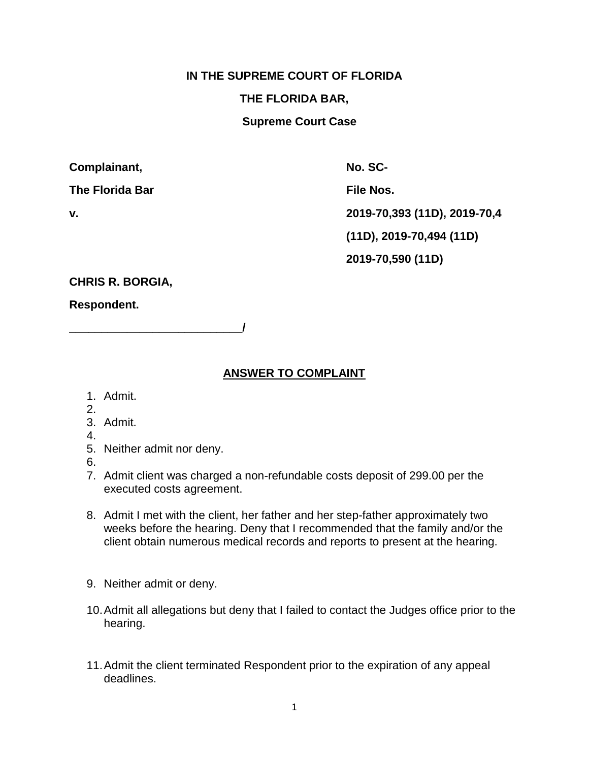## **IN THE SUPREME COURT OF FLORIDA**

## **THE FLORIDA BAR,**

**Supreme Court Case**

| Complainant, |  |
|--------------|--|
|--------------|--|

The Florida Bar **File Nos.** File Nos.

**No. SCv. 2019-70,393 (11D), 2019-70,4 (11D), 2019-70,494 (11D) 2019-70,590 (11D)** 

**CHRIS R. BORGIA,**

**Respondent.**

**ANSWER TO COMPLAINT**

- 1. Admit.
- 2.
- 3. Admit.
- 4.
- 5. Neither admit nor deny.

**\_\_\_\_\_\_\_\_\_\_\_\_\_\_\_\_\_\_\_\_\_\_\_\_\_\_\_/**

- 6.
- 7. Admit client was charged a non-refundable costs deposit of 299.00 per the executed costs agreement.
- 8. Admit I met with the client, her father and her step-father approximately two weeks before the hearing. Deny that I recommended that the family and/or the client obtain numerous medical records and reports to present at the hearing.
- 9. Neither admit or deny.
- 10.Admit all allegations but deny that I failed to contact the Judges office prior to the hearing.
- 11.Admit the client terminated Respondent prior to the expiration of any appeal deadlines.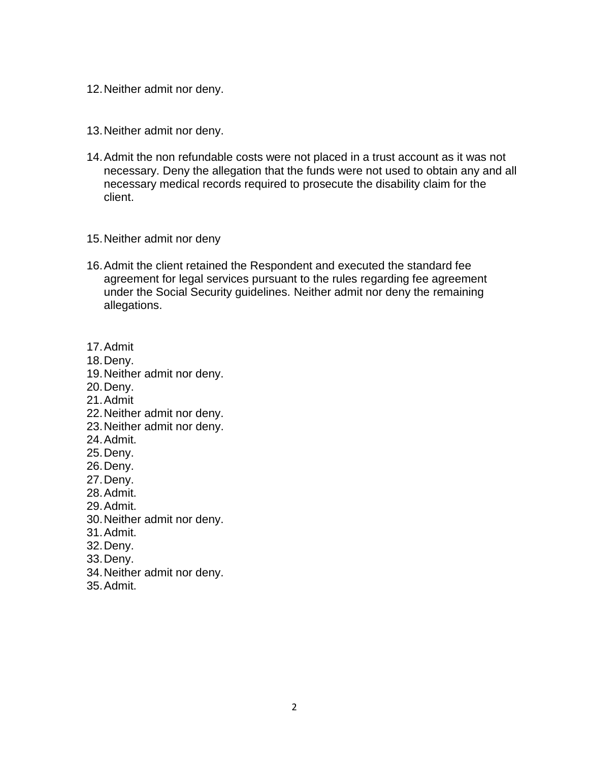- 12.Neither admit nor deny.
- 13.Neither admit nor deny.
- 14.Admit the non refundable costs were not placed in a trust account as it was not necessary. Deny the allegation that the funds were not used to obtain any and all necessary medical records required to prosecute the disability claim for the client.
- 15.Neither admit nor deny
- 16.Admit the client retained the Respondent and executed the standard fee agreement for legal services pursuant to the rules regarding fee agreement under the Social Security guidelines. Neither admit nor deny the remaining allegations.
- 17.Admit
- 18.Deny.
- 19.Neither admit nor deny.
- 20.Deny.
- 21.Admit
- 22.Neither admit nor deny.
- 23.Neither admit nor deny.
- 24.Admit.
- 25.Deny.
- 26.Deny.
- 27.Deny.
- 28.Admit.
- 29.Admit.
- 30.Neither admit nor deny.
- 31.Admit.
- 32.Deny.
- 33.Deny.
- 34.Neither admit nor deny.
- 35.Admit.